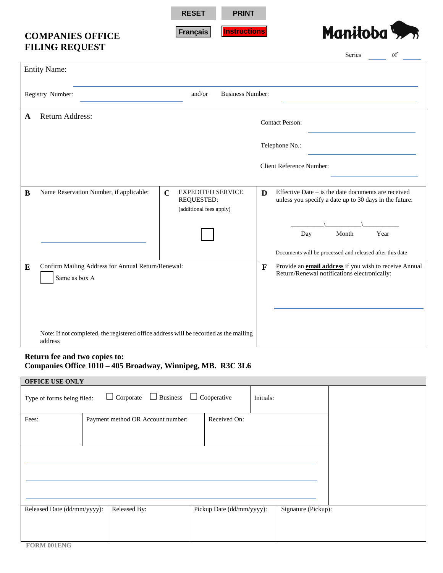**RESET PRINT**

**Français Instructions**

## **COMPANIES OFFICE FILING REQUEST**



|           |                                                                                                  |                                                      |                          |             | Series<br>of                                                                                                  |  |
|-----------|--------------------------------------------------------------------------------------------------|------------------------------------------------------|--------------------------|-------------|---------------------------------------------------------------------------------------------------------------|--|
|           | <b>Entity Name:</b>                                                                              |                                                      |                          |             |                                                                                                               |  |
|           | Registry Number:                                                                                 | and/or                                               | <b>Business Number:</b>  |             |                                                                                                               |  |
| A         | <b>Return Address:</b>                                                                           |                                                      |                          |             | <b>Contact Person:</b>                                                                                        |  |
|           |                                                                                                  |                                                      |                          |             | Telephone No.:                                                                                                |  |
|           |                                                                                                  |                                                      |                          |             | <b>Client Reference Number:</b>                                                                               |  |
| B         | Name Reservation Number, if applicable:                                                          | $\mathbf C$<br>REQUESTED:<br>(additional fees apply) | <b>EXPEDITED SERVICE</b> | D           | Effective Date – is the date documents are received<br>unless you specify a date up to 30 days in the future: |  |
|           |                                                                                                  |                                                      |                          |             | Year<br>Day<br>Month                                                                                          |  |
|           |                                                                                                  |                                                      |                          |             | Documents will be processed and released after this date                                                      |  |
| ${\bf E}$ | Confirm Mailing Address for Annual Return/Renewal:<br>Same as box A                              |                                                      |                          | $\mathbf F$ | Provide an <b>email address</b> if you wish to receive Annual<br>Return/Renewal notifications electronically: |  |
|           |                                                                                                  |                                                      |                          |             |                                                                                                               |  |
|           | Note: If not completed, the registered office address will be recorded as the mailing<br>address |                                                      |                          |             |                                                                                                               |  |

## **Return fee and two copies to: Companies Office 1010 – 405 Broadway, Winnipeg, MB. R3C 3L6**

| OFFICE USE ONLY             |                                                     |                           |                     |  |  |  |
|-----------------------------|-----------------------------------------------------|---------------------------|---------------------|--|--|--|
| Type of forms being filed:  | $\Box$ Corporate $\Box$ Business $\Box$ Cooperative |                           | Initials:           |  |  |  |
| Fees:                       | Payment method OR Account number:                   | Received On:              |                     |  |  |  |
|                             |                                                     |                           |                     |  |  |  |
|                             |                                                     |                           |                     |  |  |  |
| Released Date (dd/mm/yyyy): | Released By:                                        | Pickup Date (dd/mm/yyyy): | Signature (Pickup): |  |  |  |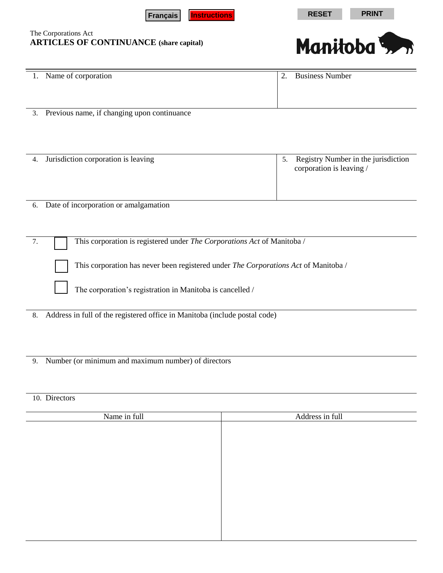



| 1. Name of corporation                      | 2. | <b>Business Number</b> |
|---------------------------------------------|----|------------------------|
| Previous name, if changing upon continuance |    |                        |

| Jurisdiction corporation is leaving | 5. Registry Number in the jurisdiction<br>corporation is leaving / |
|-------------------------------------|--------------------------------------------------------------------|
|                                     |                                                                    |

6. Date of incorporation or amalgamation

7. □ This corporation is registered under *The Corporations Act* of Manitoba /

This corporation has never been registered under *The Corporations Act* of Manitoba /

The corporation's registration in Manitoba is cancelled /

8. Address in full of the registered office in Manitoba (include postal code)

9. Number (or minimum and maximum number) of directors

## 10. Directors

| Name in full | Address in full |
|--------------|-----------------|
|              |                 |
|              |                 |
|              |                 |
|              |                 |
|              |                 |
|              |                 |
|              |                 |
|              |                 |
|              |                 |
|              |                 |
|              |                 |